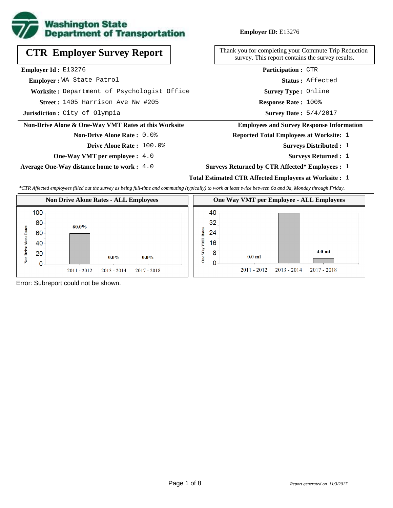

# **CTR Employer Survey Report**

**Employer Id :** E13276

 **Employer :** WA State Patrol

**Worksite :** Department of Psychologist Office

**Street :** 1405 Harrison Ave Nw #205 **Response Rate :** 

**Jurisdiction :** City of Olympia

#### **Non-Drive Alone & One-Way VMT Rates at this Worksite**

**Non-Drive Alone Rate :** 0.0%

**Drive Alone Rate :** 100.0%

**One-Way VMT per employee :** 4.0

**Average One-Way distance home to work :** 4.0

#### **Employer ID:** E13276

Thank you for completing your Commute Trip Reduction survey. This report contains the survey results.

> **Status :** Affected **Participation :** CTR

**Survey Type :** Online

Response Rate: 100%

Survey Date: 5/4/2017

#### **Employees and Survey Response Information**

**Reported Total Employees at Worksite:** 1

- 1 **Surveys Distributed :**
	- **Surveys Returned :** 1
- **Surveys Returned by CTR Affected\* Employees :** 1

## **Total Estimated CTR Affected Employees at Worksite :** 1

*\*CTR Affected employees filled out the survey as being full-time and commuting (typically) to work at least twice between 6a and 9a, Monday through Friday.*



|                   | <b>One Way VMT per Employee - ALL Employees</b> |                                              |  |  |  |  |  |  |  |  |
|-------------------|-------------------------------------------------|----------------------------------------------|--|--|--|--|--|--|--|--|
|                   | 40                                              |                                              |  |  |  |  |  |  |  |  |
|                   | 32                                              |                                              |  |  |  |  |  |  |  |  |
|                   | 24                                              |                                              |  |  |  |  |  |  |  |  |
|                   | 16                                              |                                              |  |  |  |  |  |  |  |  |
| One Way VMT Rates | 8                                               | 4.0 <sub>m</sub><br>0.0 <sub>mi</sub>        |  |  |  |  |  |  |  |  |
|                   |                                                 | $2011 - 2012$ $2013 - 2014$<br>$2017 - 2018$ |  |  |  |  |  |  |  |  |

Error: Subreport could not be shown.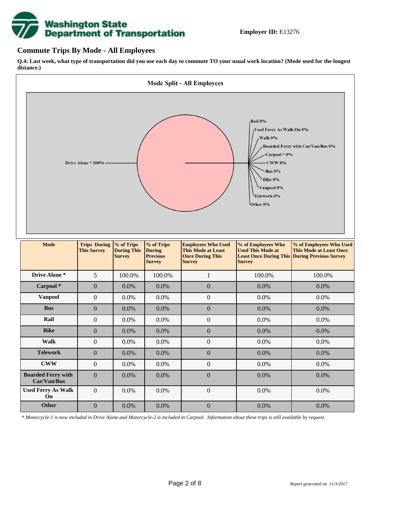

#### **Commute Trips By Mode - All Employees**

**Q.4: Last week, what type of transportation did you use each day to commute TO your usual work location? (Mode used for the longest distance.)**



*\* Motorcycle-1 is now included in Drive Alone and Motorcycle-2 is included in Carpool. Information about these trips is still available by request.*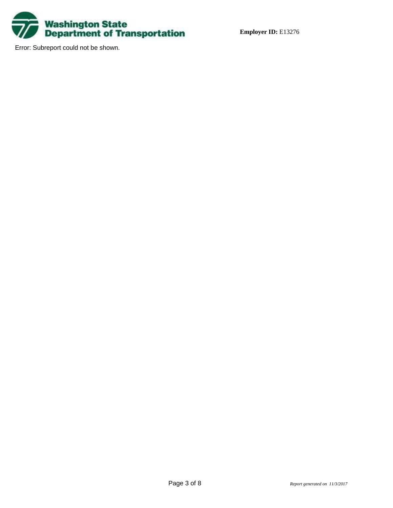

Error: Subreport could not be shown.

**Employer ID:** E13276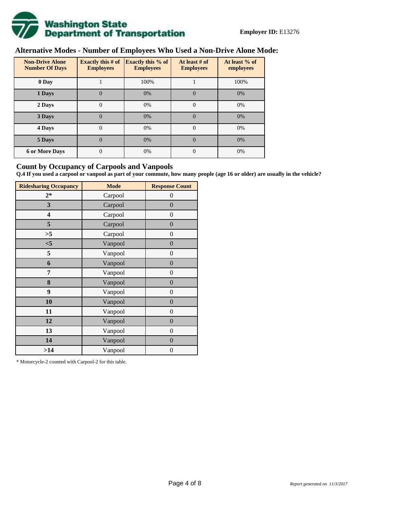

# **Alternative Modes - Number of Employees Who Used a Non-Drive Alone Mode:**

| <b>Non-Drive Alone</b><br><b>Number Of Days</b> | <b>Exactly this # of</b><br><b>Employees</b> | <b>Exactly this % of</b><br><b>Employees</b> | At least # of<br><b>Employees</b> | At least % of<br>employees |
|-------------------------------------------------|----------------------------------------------|----------------------------------------------|-----------------------------------|----------------------------|
| 0 Day                                           |                                              | 100%                                         |                                   | 100%                       |
| 1 Days                                          | $\overline{0}$                               | 0%                                           | $\Omega$                          | 0%                         |
| 2 Days                                          | $\overline{0}$                               | 0%                                           | $\Omega$                          | 0%                         |
| 3 Days                                          | $\theta$                                     | 0%                                           | $\Omega$                          | 0%                         |
| 4 Days                                          | $\theta$                                     | 0%                                           | $\Omega$                          | 0%                         |
| 5 Days                                          | 0                                            | 0%                                           | $\theta$                          | 0%                         |
| <b>6 or More Days</b>                           | 0                                            | 0%                                           | $\Omega$                          | 0%                         |

### **Count by Occupancy of Carpools and Vanpools**

**Q.4 If you used a carpool or vanpool as part of your commute, how many people (age 16 or older) are usually in the vehicle?**

| <b>Ridesharing Occupancy</b> | <b>Mode</b> | <b>Response Count</b> |
|------------------------------|-------------|-----------------------|
| $2*$                         | Carpool     | 0                     |
| 3                            | Carpool     | $\overline{0}$        |
| 4                            | Carpool     | $\boldsymbol{0}$      |
| 5                            | Carpool     | $\boldsymbol{0}$      |
| >5                           | Carpool     | $\overline{0}$        |
| $<$ 5                        | Vanpool     | $\overline{0}$        |
| 5                            | Vanpool     | $\overline{0}$        |
| 6                            | Vanpool     | $\boldsymbol{0}$      |
| 7                            | Vanpool     | $\overline{0}$        |
| 8                            | Vanpool     | $\boldsymbol{0}$      |
| 9                            | Vanpool     | $\overline{0}$        |
| 10                           | Vanpool     | $\overline{0}$        |
| 11                           | Vanpool     | $\boldsymbol{0}$      |
| 12                           | Vanpool     | $\boldsymbol{0}$      |
| 13                           | Vanpool     | $\boldsymbol{0}$      |
| 14                           | Vanpool     | $\overline{0}$        |
| >14                          | Vanpool     | $\boldsymbol{0}$      |

\* Motorcycle-2 counted with Carpool-2 for this table.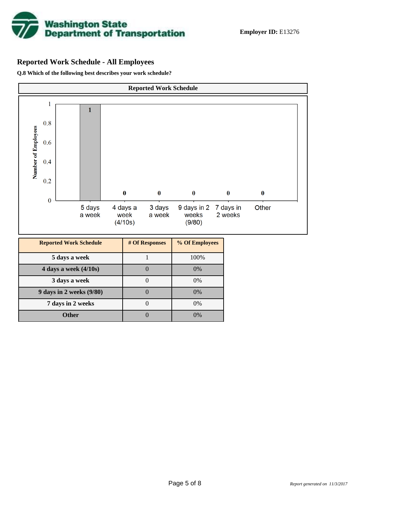

## **Reported Work Schedule - All Employees**

**Q.8 Which of the following best describes your work schedule?**

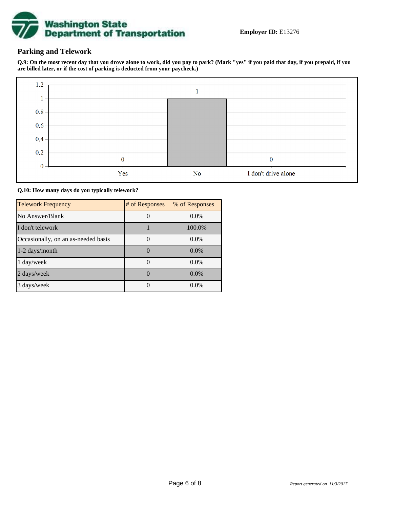

## **Parking and Telework**

**Q.9: On the most recent day that you drove alone to work, did you pay to park? (Mark "yes" if you paid that day, if you prepaid, if you are billed later, or if the cost of parking is deducted from your paycheck.)**



**Q.10: How many days do you typically telework?**

| <b>Telework Frequency</b>           | # of Responses | % of Responses |
|-------------------------------------|----------------|----------------|
| No Answer/Blank                     |                | $0.0\%$        |
| I don't telework                    |                | 100.0%         |
| Occasionally, on an as-needed basis |                | $0.0\%$        |
| 1-2 days/month                      |                | $0.0\%$        |
| 1 day/week                          |                | $0.0\%$        |
| 2 days/week                         |                | $0.0\%$        |
| 3 days/week                         |                | $0.0\%$        |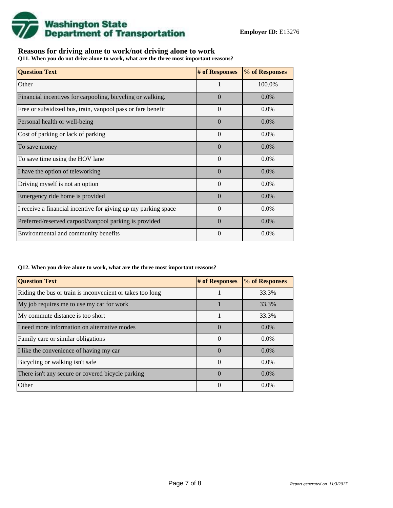

## **Reasons for driving alone to work/not driving alone to work**

**Q11. When you do not drive alone to work, what are the three most important reasons?**

| <b>Question Text</b>                                           | # of Responses | % of Responses |
|----------------------------------------------------------------|----------------|----------------|
| Other                                                          |                | 100.0%         |
| Financial incentives for carpooling, bicycling or walking.     | $\Omega$       | $0.0\%$        |
| Free or subsidized bus, train, vanpool pass or fare benefit    | $\Omega$       | 0.0%           |
| Personal health or well-being                                  | $\Omega$       | $0.0\%$        |
| Cost of parking or lack of parking                             | $\Omega$       | $0.0\%$        |
| To save money                                                  | $\theta$       | $0.0\%$        |
| To save time using the HOV lane                                | $\Omega$       | 0.0%           |
| I have the option of teleworking                               | $\Omega$       | $0.0\%$        |
| Driving myself is not an option                                | $\theta$       | 0.0%           |
| Emergency ride home is provided                                | $\Omega$       | $0.0\%$        |
| I receive a financial incentive for giving up my parking space | $\Omega$       | 0.0%           |
| Preferred/reserved carpool/vanpool parking is provided         | $\Omega$       | $0.0\%$        |
| Environmental and community benefits                           | $\Omega$       | $0.0\%$        |

#### **Q12. When you drive alone to work, what are the three most important reasons?**

| <b>Question Text</b>                                      | # of Responses | % of Responses |  |  |
|-----------------------------------------------------------|----------------|----------------|--|--|
| Riding the bus or train is inconvenient or takes too long |                | 33.3%          |  |  |
| My job requires me to use my car for work                 |                | 33.3%          |  |  |
| My commute distance is too short                          |                | 33.3%          |  |  |
| I need more information on alternative modes              | $\theta$       | $0.0\%$        |  |  |
| Family care or similar obligations                        | $\Omega$       | $0.0\%$        |  |  |
| I like the convenience of having my car                   | $\Omega$       | $0.0\%$        |  |  |
| Bicycling or walking isn't safe                           | $\theta$       | $0.0\%$        |  |  |
| There isn't any secure or covered bicycle parking         | $\Omega$       | $0.0\%$        |  |  |
| Other                                                     | $\Omega$       | $0.0\%$        |  |  |